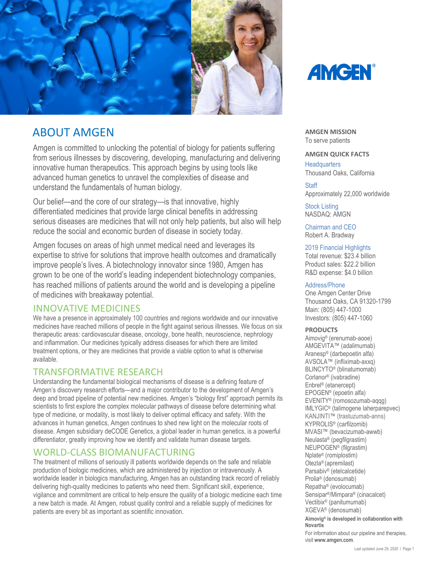

# ABOUT AMGEN

Amgen is committed to unlocking the potential of biology for patients suffering from serious illnesses by discovering, developing, manufacturing and delivering innovative human therapeutics. This approach begins by using tools like advanced human genetics to unravel the complexities of disease and understand the fundamentals of human biology.

Our belief—and the core of our strategy—is that innovative, highly differentiated medicines that provide large clinical benefits in addressing serious diseases are medicines that will not only help patients, but also will help reduce the social and economic burden of disease in society today.

Amgen focuses on areas of high unmet medical need and leverages its expertise to strive for solutions that improve health outcomes and dramatically improve people's lives. A biotechnology innovator since 1980, Amgen has grown to be one of the world's leading independent biotechnology companies, has reached millions of patients around the world and is developing a pipeline of medicines with breakaway potential.

### INNOVATIVE MEDICINES

We have a presence in approximately 100 countries and regions worldwide and our innovative medicines have reached millions of people in the fight against serious illnesses. We focus on six therapeutic areas: cardiovascular disease, oncology, bone health, neuroscience, nephrology and inflammation. Our medicines typically address diseases for which there are limited treatment options, or they are medicines that provide a viable option to what is otherwise available.

# TRANSFORMATIVE RESEARCH

Understanding the fundamental biological mechanisms of disease is a defining feature of Amgen's discovery research efforts—and a major contributor to the development of Amgen's deep and broad pipeline of potential new medicines. Amgen's "biology first" approach permits its scientists to first explore the complex molecular pathways of disease before determining what type of medicine, or modality, is most likely to deliver optimal efficacy and safety. With the advances in human genetics, Amgen continues to shed new light on the molecular roots of disease. Amgen subsidiary deCODE Genetics, a global leader in human genetics, is a powerful differentiator, greatly improving how we identify and validate human disease targets.

# WORLD-CLASS BIOMANUFACTURING

The treatment of millions of seriously ill patients worldwide depends on the safe and reliable production of biologic medicines, which are administered by injection or intravenously. A worldwide leader in biologics manufacturing, Amgen has an outstanding track record of reliably delivering high-quality medicines to patients who need them. Significant skill, experience, vigilance and commitment are critical to help ensure the quality of a biologic medicine each time a new batch is made. At Amgen, robust quality control and a reliable supply of medicines for patients are every bit as important as scientific innovation.



**AMGEN MISSION** To serve patients

### **AMGEN QUICK FACTS**

**Headquarters** Thousand Oaks, California

### **Staff**

Approximately 22,000 worldwide

Stock Listing NASDAQ: AMGN

Chairman and CEO Robert A. Bradway

### 2019 Financial Highlights

Total revenue: \$23.4 billion Product sales: \$22.2 billion R&D expense: \$4.0 billion

### Address/Phone

One Amgen Center Drive Thousand Oaks, CA 91320-1799 Main: (805) 447-1000 Investors: (805) 447-1060

#### **PRODUCTS**

Aimovig® (erenumab-aooe) AMGEVITA™ (adalimumab) Aranesp® (darbepoetin alfa) AVSOLA™ (infliximab-axxq) BLINCYTO® (blinatumomab) Corlanor® (ivabradine) Enbrel® (etanercept) EPOGEN® (epoetin alfa) EVENITY® (romosozumab-aqqg) IMLYGIC® (talimogene laherparepvec) KANJINTI™ (trastuzumab-anns) KYPROLIS® (carfilzomib) MVASI™ (bevacizumab-awwb) Neulasta® (pegfilgrastim) NEUPOGEN® (filgrastim) Nplate® (romiplostim) Otezla® (apremilast) Parsabiv® (etelcalcetide) Prolia® (denosumab) Repatha® (evolocumab) Sensipar®/Mimpara® (cinacalcet) Vectibix® (panitumumab) XGEVA® (denosumab) **Aimovig® is developed in collaboration with Novartis** For information about our pipeline and therapies,

visit **[www.amgen.com](http://www.amgen.com/)**.